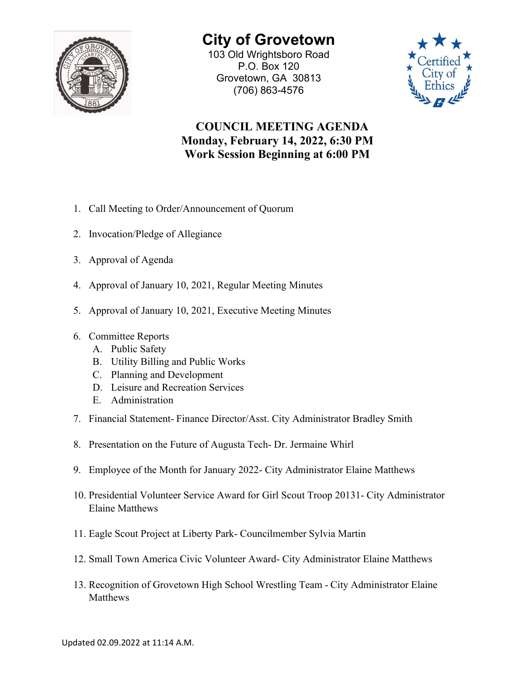

## **City of Grovetown** 103 Old Wrightsboro Road

P.O. Box 120 Grovetown, GA 30813 (706) 863-4576



## **COUNCIL MEETING AGENDA Monday, February 14, 2022, 6:30 PM Work Session Beginning at 6:00 PM**

- 1. Call Meeting to Order/Announcement of Quorum
- 2. Invocation/Pledge of Allegiance
- 3. Approval of Agenda
- 4. Approval of January 10, 2021, Regular Meeting Minutes
- 5. Approval of January 10, 2021, Executive Meeting Minutes
- 6. Committee Reports
	- A. Public Safety
	- B. Utility Billing and Public Works
	- C. Planning and Development
	- D. Leisure and Recreation Services
	- E. Administration
- 7. Financial Statement- Finance Director/Asst. City Administrator Bradley Smith
- 8. Presentation on the Future of Augusta Tech- Dr. Jermaine Whirl
- 9. Employee of the Month for January 2022- City Administrator Elaine Matthews
- 10. Presidential Volunteer Service Award for Girl Scout Troop 20131- City Administrator Elaine Matthews
- 11. Eagle Scout Project at Liberty Park- Councilmember Sylvia Martin
- 12. Small Town America Civic Volunteer Award- City Administrator Elaine Matthews
- 13. Recognition of Grovetown High School Wrestling Team City Administrator Elaine Matthews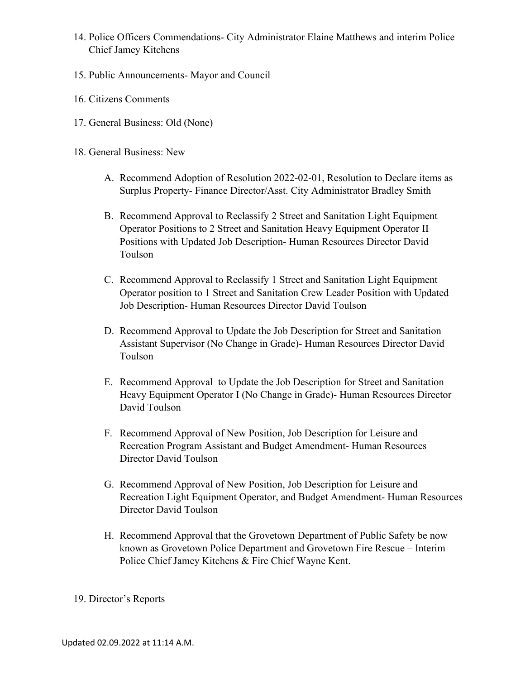- 14. Police Officers Commendations- City Administrator Elaine Matthews and interim Police Chief Jamey Kitchens
- 15. Public Announcements- Mayor and Council
- 16. Citizens Comments
- 17. General Business: Old (None)
- 18. General Business: New
	- A. Recommend Adoption of Resolution 2022-02-01, Resolution to Declare items as Surplus Property- Finance Director/Asst. City Administrator Bradley Smith
	- B. Recommend Approval to Reclassify 2 Street and Sanitation Light Equipment Operator Positions to 2 Street and Sanitation Heavy Equipment Operator II Positions with Updated Job Description- Human Resources Director David Toulson
	- C. Recommend Approval to Reclassify 1 Street and Sanitation Light Equipment Operator position to 1 Street and Sanitation Crew Leader Position with Updated Job Description- Human Resources Director David Toulson
	- D. Recommend Approval to Update the Job Description for Street and Sanitation Assistant Supervisor (No Change in Grade)- Human Resources Director David Toulson
	- E. Recommend Approval to Update the Job Description for Street and Sanitation Heavy Equipment Operator I (No Change in Grade)- Human Resources Director David Toulson
	- F. Recommend Approval of New Position, Job Description for Leisure and Recreation Program Assistant and Budget Amendment- Human Resources Director David Toulson
	- G. Recommend Approval of New Position, Job Description for Leisure and Recreation Light Equipment Operator, and Budget Amendment- Human Resources Director David Toulson
	- H. Recommend Approval that the Grovetown Department of Public Safety be now known as Grovetown Police Department and Grovetown Fire Rescue – Interim Police Chief Jamey Kitchens & Fire Chief Wayne Kent.

## 19. Director's Reports